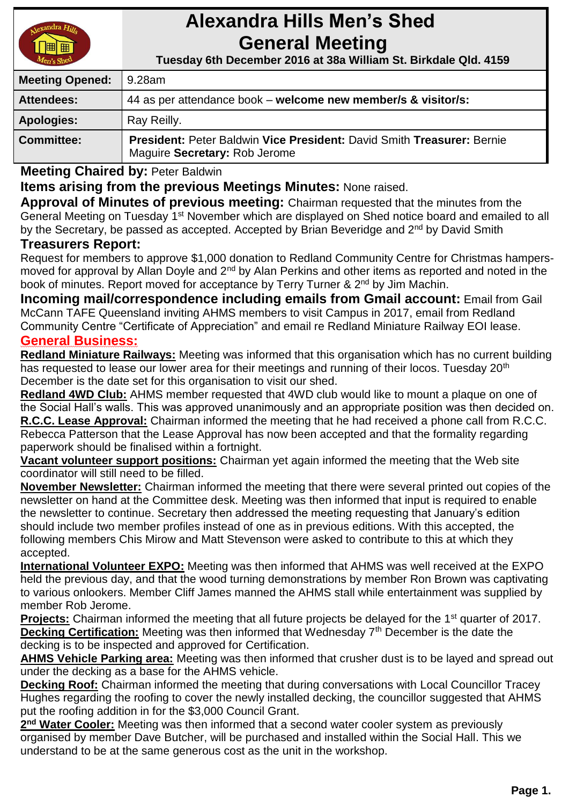

# **Alexandra Hills Men's Shed General Meeting**

 **Tuesday 6th December 2016 at 38a William St. Birkdale Qld. 4159** 

| <b>Meeting Opened:</b> | 9.28am                                                                                                  |
|------------------------|---------------------------------------------------------------------------------------------------------|
| <b>Attendees:</b>      | 44 as per attendance book – welcome new member/s & visitor/s:                                           |
| <b>Apologies:</b>      | Ray Reilly.                                                                                             |
| <b>Committee:</b>      | President: Peter Baldwin Vice President: David Smith Treasurer: Bernie<br>Maguire Secretary: Rob Jerome |

**Meeting Chaired by:** Peter Baldwin

# **Items arising from the previous Meetings Minutes:** None raised.

**Approval of Minutes of previous meeting:** Chairman requested that the minutes from the General Meeting on Tuesday 1<sup>st</sup> November which are displayed on Shed notice board and emailed to all by the Secretary, be passed as accepted. Accepted by Brian Beveridge and 2<sup>nd</sup> by David Smith

# **Treasurers Report:**

Request for members to approve \$1,000 donation to Redland Community Centre for Christmas hampersmoved for approval by Allan Doyle and 2<sup>nd</sup> by Alan Perkins and other items as reported and noted in the book of minutes. Report moved for acceptance by Terry Turner & 2<sup>nd</sup> by Jim Machin.

**Incoming mail/correspondence including emails from Gmail account:** Email from Gail McCann TAFE Queensland inviting AHMS members to visit Campus in 2017, email from Redland Community Centre "Certificate of Appreciation" and email re Redland Miniature Railway EOI lease.

#### **General Business:**

**Redland Miniature Railways:** Meeting was informed that this organisation which has no current building has requested to lease our lower area for their meetings and running of their locos. Tuesday 20<sup>th</sup> December is the date set for this organisation to visit our shed.

**Redland 4WD Club:** AHMS member requested that 4WD club would like to mount a plaque on one of the Social Hall's walls. This was approved unanimously and an appropriate position was then decided on. **R.C.C. Lease Approval:** Chairman informed the meeting that he had received a phone call from R.C.C. Rebecca Patterson that the Lease Approval has now been accepted and that the formality regarding paperwork should be finalised within a fortnight.

**Vacant volunteer support positions:** Chairman yet again informed the meeting that the Web site coordinator will still need to be filled.

**November Newsletter:** Chairman informed the meeting that there were several printed out copies of the newsletter on hand at the Committee desk. Meeting was then informed that input is required to enable the newsletter to continue. Secretary then addressed the meeting requesting that January's edition should include two member profiles instead of one as in previous editions. With this accepted, the following members Chis Mirow and Matt Stevenson were asked to contribute to this at which they accepted.

**International Volunteer EXPO:** Meeting was then informed that AHMS was well received at the EXPO held the previous day, and that the wood turning demonstrations by member Ron Brown was captivating to various onlookers. Member Cliff James manned the AHMS stall while entertainment was supplied by member Rob Jerome.

**Projects:** Chairman informed the meeting that all future projects be delayed for the 1<sup>st</sup> quarter of 2017. **Decking Certification:** Meeting was then informed that Wednesday 7<sup>th</sup> December is the date the decking is to be inspected and approved for Certification.

**AHMS Vehicle Parking area:** Meeting was then informed that crusher dust is to be layed and spread out under the decking as a base for the AHMS vehicle.

**Decking Roof:** Chairman informed the meeting that during conversations with Local Councillor Tracey Hughes regarding the roofing to cover the newly installed decking, the councillor suggested that AHMS put the roofing addition in for the \$3,000 Council Grant.

2<sup>nd</sup> Water Cooler: Meeting was then informed that a second water cooler system as previously organised by member Dave Butcher, will be purchased and installed within the Social Hall. This we understand to be at the same generous cost as the unit in the workshop.